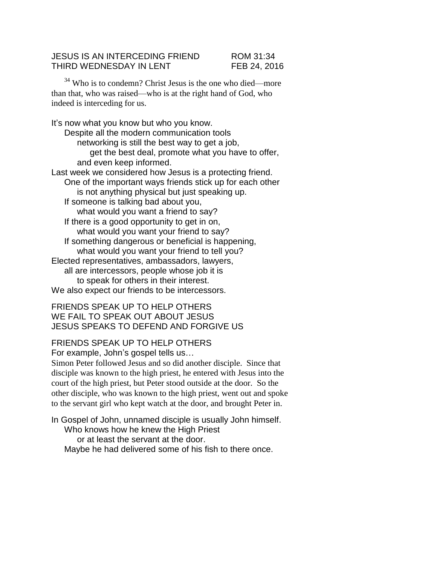## JESUS IS AN INTERCEDING FRIEND ROM 31:34 THIRD WEDNESDAY IN LENT FEB 24, 2016

<sup>34</sup> Who is to condemn? Christ Jesus is the one who died—more than that, who was raised—who is at the right hand of God, who indeed is interceding for us.

It's now what you know but who you know. Despite all the modern communication tools networking is still the best way to get a job, get the best deal, promote what you have to offer, and even keep informed. Last week we considered how Jesus is a protecting friend. One of the important ways friends stick up for each other is not anything physical but just speaking up. If someone is talking bad about you, what would you want a friend to say? If there is a good opportunity to get in on, what would you want your friend to say? If something dangerous or beneficial is happening, what would you want your friend to tell you? Elected representatives, ambassadors, lawyers, all are intercessors, people whose job it is to speak for others in their interest. We also expect our friends to be intercessors.

FRIENDS SPEAK UP TO HELP OTHERS WE FAIL TO SPEAK OUT ABOUT JESUS JESUS SPEAKS TO DEFEND AND FORGIVE US

## FRIENDS SPEAK UP TO HELP OTHERS

For example, John's gospel tells us…

Simon Peter followed Jesus and so did another disciple. Since that disciple was known to the high priest, he entered with Jesus into the court of the high priest, but Peter stood outside at the door. So the other disciple, who was known to the high priest, went out and spoke to the servant girl who kept watch at the door, and brought Peter in.

In Gospel of John, unnamed disciple is usually John himself. Who knows how he knew the High Priest or at least the servant at the door. Maybe he had delivered some of his fish to there once.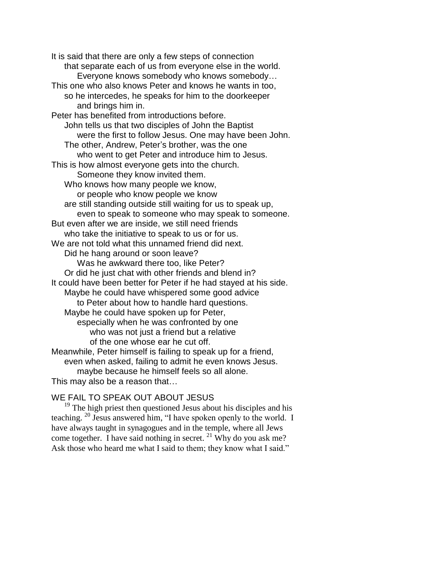It is said that there are only a few steps of connection that separate each of us from everyone else in the world. Everyone knows somebody who knows somebody… This one who also knows Peter and knows he wants in too, so he intercedes, he speaks for him to the doorkeeper and brings him in. Peter has benefited from introductions before. John tells us that two disciples of John the Baptist were the first to follow Jesus. One may have been John. The other, Andrew, Peter's brother, was the one who went to get Peter and introduce him to Jesus. This is how almost everyone gets into the church. Someone they know invited them. Who knows how many people we know, or people who know people we know are still standing outside still waiting for us to speak up, even to speak to someone who may speak to someone. But even after we are inside, we still need friends who take the initiative to speak to us or for us. We are not told what this unnamed friend did next. Did he hang around or soon leave? Was he awkward there too, like Peter? Or did he just chat with other friends and blend in? It could have been better for Peter if he had stayed at his side. Maybe he could have whispered some good advice to Peter about how to handle hard questions. Maybe he could have spoken up for Peter, especially when he was confronted by one who was not just a friend but a relative of the one whose ear he cut off. Meanwhile, Peter himself is failing to speak up for a friend, even when asked, failing to admit he even knows Jesus. maybe because he himself feels so all alone. This may also be a reason that…

## WE FAIL TO SPEAK OUT ABOUT JESUS

 $19$ <sup>19</sup> The high priest then questioned Jesus about his disciples and his teaching. <sup>20</sup> Jesus answered him, "I have spoken openly to the world. I have always taught in synagogues and in the temple, where all Jews come together. I have said nothing in secret.  $^{21}$  Why do you ask me? Ask those who heard me what I said to them; they know what I said."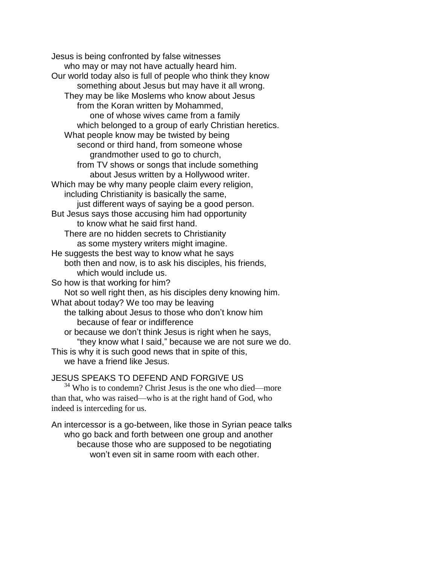Jesus is being confronted by false witnesses who may or may not have actually heard him. Our world today also is full of people who think they know something about Jesus but may have it all wrong. They may be like Moslems who know about Jesus from the Koran written by Mohammed, one of whose wives came from a family which belonged to a group of early Christian heretics. What people know may be twisted by being second or third hand, from someone whose grandmother used to go to church, from TV shows or songs that include something about Jesus written by a Hollywood writer. Which may be why many people claim every religion, including Christianity is basically the same, just different ways of saying be a good person. But Jesus says those accusing him had opportunity to know what he said first hand. There are no hidden secrets to Christianity as some mystery writers might imagine. He suggests the best way to know what he says both then and now, is to ask his disciples, his friends, which would include us. So how is that working for him? Not so well right then, as his disciples deny knowing him. What about today? We too may be leaving the talking about Jesus to those who don't know him because of fear or indifference or because we don't think Jesus is right when he says, "they know what I said," because we are not sure we do. This is why it is such good news that in spite of this, we have a friend like Jesus.

## JESUS SPEAKS TO DEFEND AND FORGIVE US

<sup>34</sup> Who is to condemn? Christ Jesus is the one who died—more than that, who was raised—who is at the right hand of God, who indeed is interceding for us.

An intercessor is a go-between, like those in Syrian peace talks who go back and forth between one group and another because those who are supposed to be negotiating won't even sit in same room with each other.